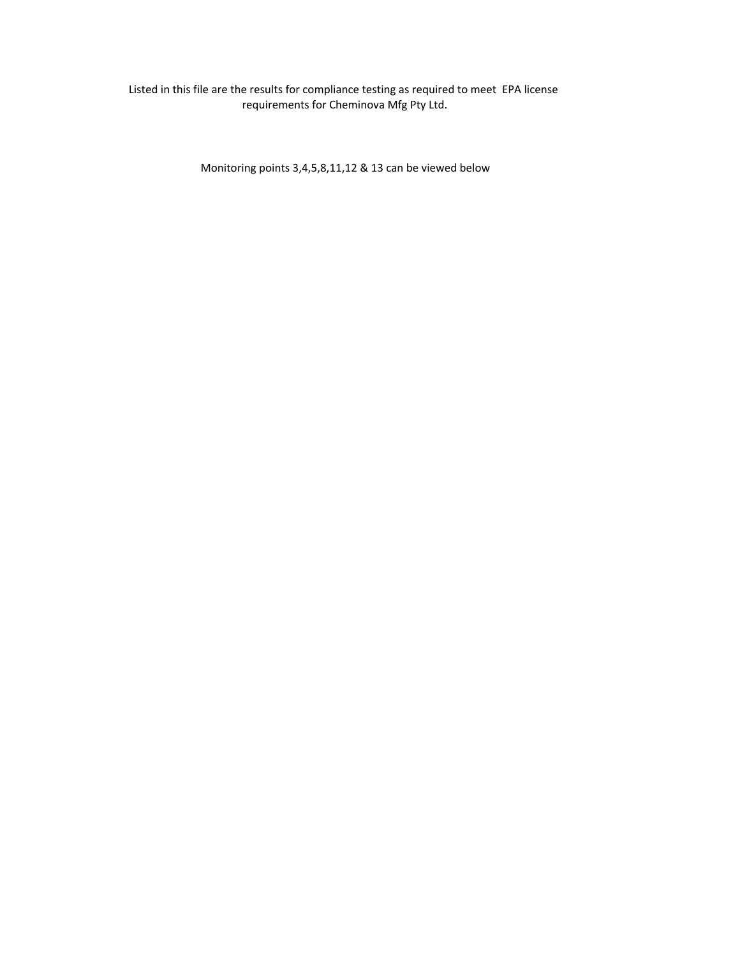# Listed in this file are the results for compliance testing as required to meet EPA license requirements for Cheminova Mfg Pty Ltd.

Monitoring points 3,4,5,8,11,12 & 13 can be viewed below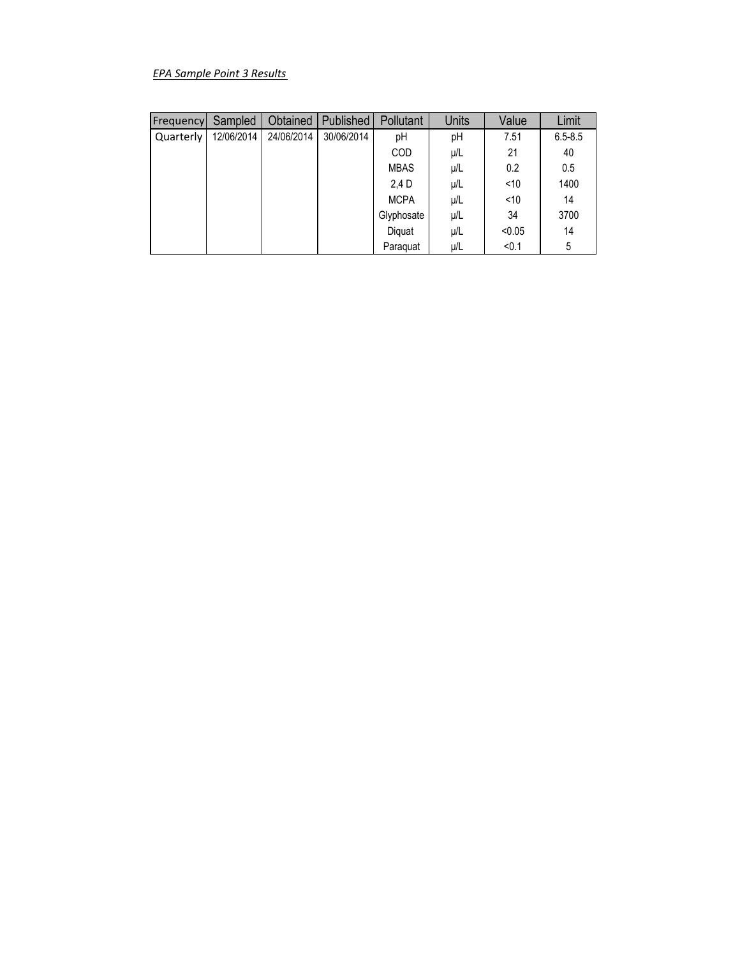# *EPA Sample Point 3 Results*

| Frequency | Sampled    | Obtained   | Published  | Pollutant   | <b>Units</b> | Value  | Limit       |
|-----------|------------|------------|------------|-------------|--------------|--------|-------------|
| Quarterly | 12/06/2014 | 24/06/2014 | 30/06/2014 | рH          | pH           | 7.51   | $6.5 - 8.5$ |
|           |            |            |            | COD         | μ/L          | 21     | 40          |
|           |            |            |            | <b>MBAS</b> | μ/L          | 0.2    | 0.5         |
|           |            |            |            | 2.4 D       | μ/L          | < 10   | 1400        |
|           |            |            |            | <b>MCPA</b> | μ/L          | ~10    | 14          |
|           |            |            |            | Glyphosate  | μ/L          | 34     | 3700        |
|           |            |            |            | Diquat      | μ/L          | < 0.05 | 14          |
|           |            |            |            | Paraguat    | μ/L          | < 0.1  | 5           |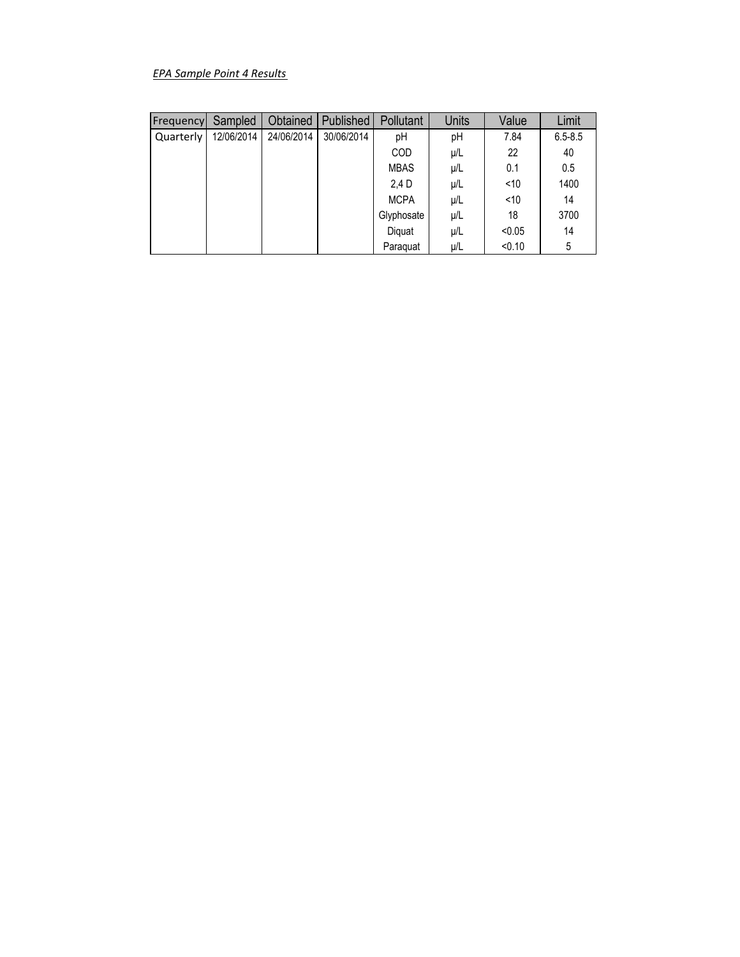# *EPA Sample Point 4 Results*

| Frequency | Sampled    | Obtained   | Published  | Pollutant   | <b>Units</b> | Value  | Limit       |
|-----------|------------|------------|------------|-------------|--------------|--------|-------------|
| Quarterly | 12/06/2014 | 24/06/2014 | 30/06/2014 | рH          | pH           | 7.84   | $6.5 - 8.5$ |
|           |            |            |            | COD         | μ/L          | 22     | 40          |
|           |            |            |            | <b>MBAS</b> | μ/L          | 0.1    | 0.5         |
|           |            |            |            | 2.4 D       | μ/L          | < 10   | 1400        |
|           |            |            |            | <b>MCPA</b> | μ/L          | ~10    | 14          |
|           |            |            |            | Glyphosate  | μ/L          | 18     | 3700        |
|           |            |            |            | Diquat      | μ/L          | < 0.05 | 14          |
|           |            |            |            | Paraguat    | μ/L          | < 0.10 | 5           |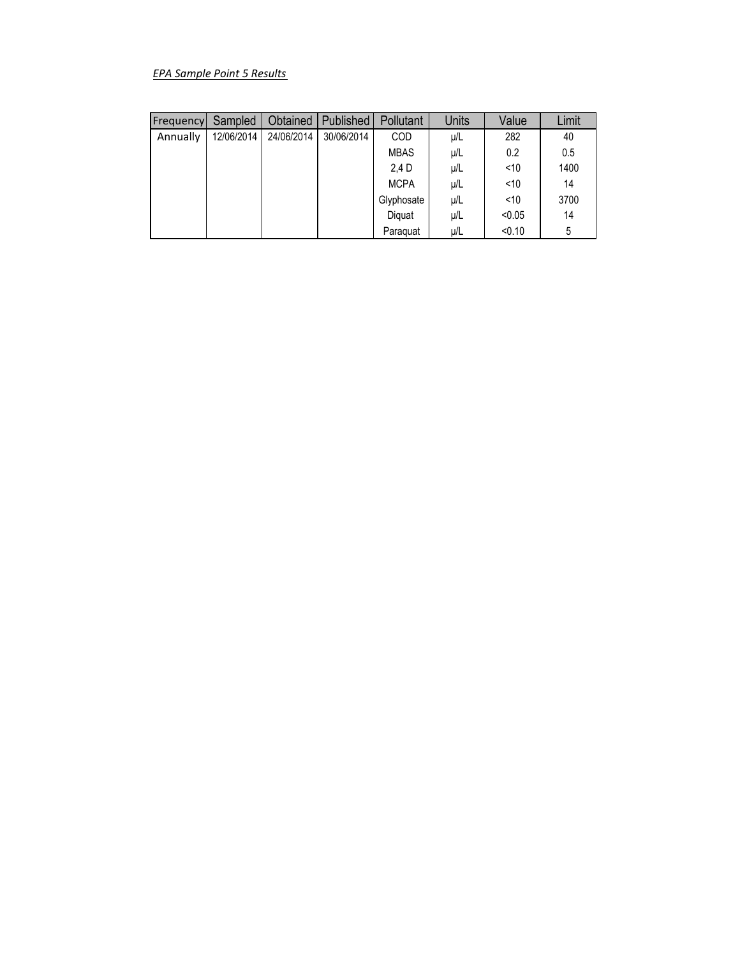# *EPA Sample Point 5 Results*

| Frequency | Sampled    | <b>Obtained</b> | <b>Published</b> | Pollutant   | <b>Units</b> | Value  | Limit |
|-----------|------------|-----------------|------------------|-------------|--------------|--------|-------|
| Annually  | 12/06/2014 | 24/06/2014      | 30/06/2014       | COD         | μ/L          | 282    | 40    |
|           |            |                 |                  | <b>MBAS</b> | μ/L          | 0.2    | 0.5   |
|           |            |                 |                  | 2.4 D       | μ/L          | < 10   | 1400  |
|           |            |                 |                  | <b>MCPA</b> | μ/L          | < 10   | 14    |
|           |            |                 |                  | Glyphosate  | μ/L          | < 10   | 3700  |
|           |            |                 |                  | Diguat      | μ/L          | < 0.05 | 14    |
|           |            |                 |                  | Paraguat    | μ/L          | < 0.10 | 5     |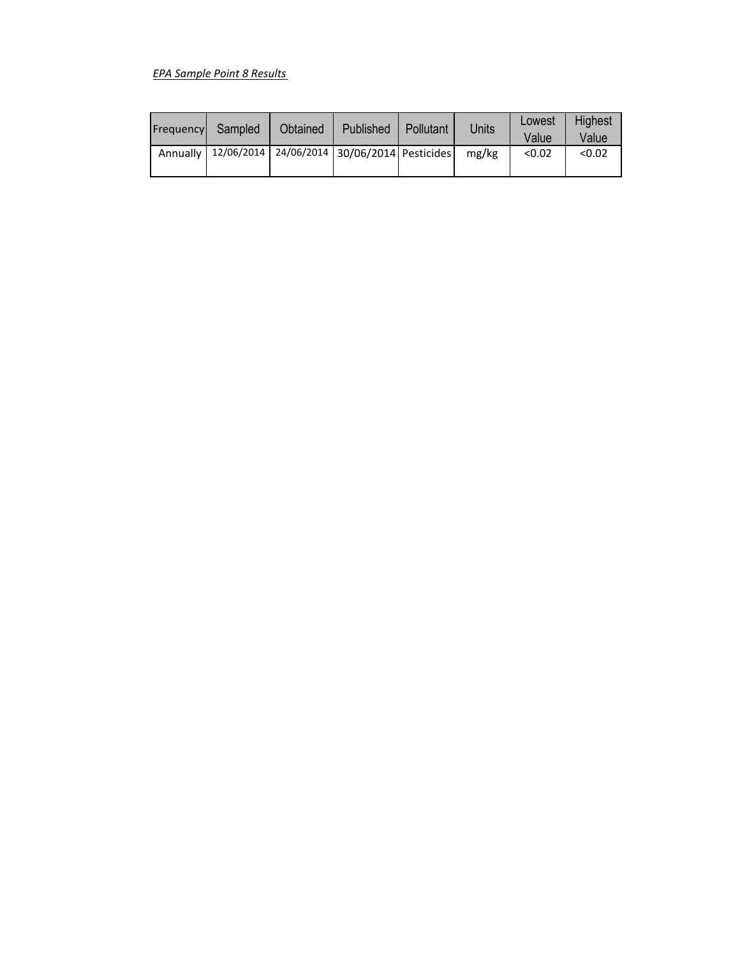# *EPA Sample Point 8 Results*

| Frequency Sampled | Obtained | Published                                                    | <b>Pollutant</b> | Units | Lowest<br>Value | Highest<br>Value |
|-------------------|----------|--------------------------------------------------------------|------------------|-------|-----------------|------------------|
|                   |          | Annually   12/06/2014   24/06/2014   30/06/2014   Pesticides |                  | mg/kg | < 0.02          | < 0.02           |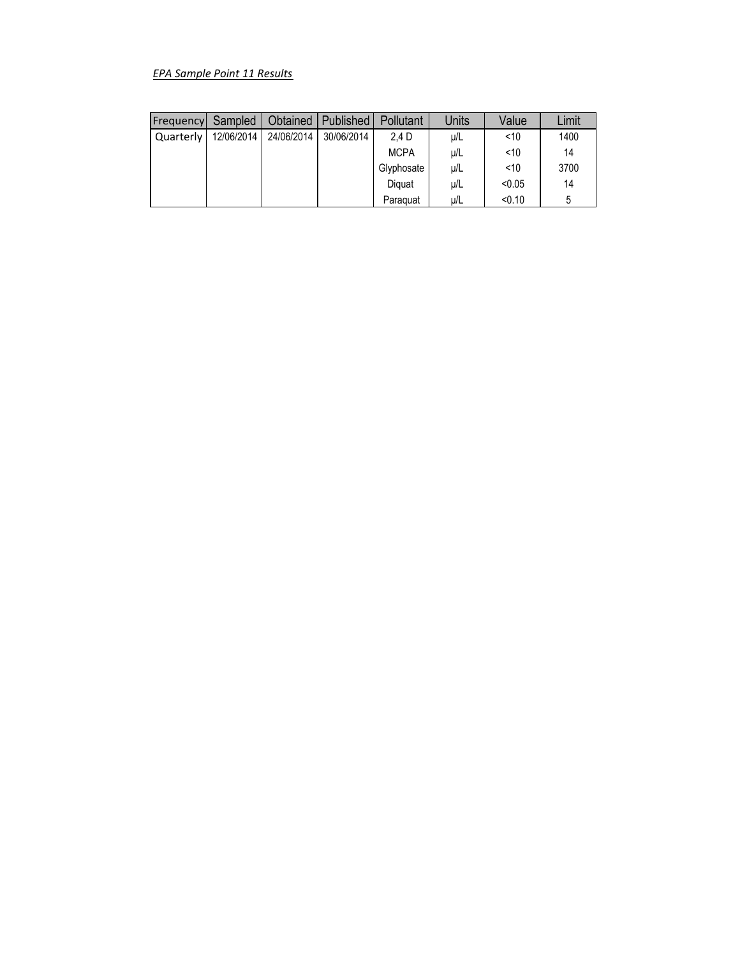# *EPA Sample Point 11 Results*

| Frequency | Sampled    | Obtained   | Published  | <b>Pollutant</b> | Units   | Value  | Limit |
|-----------|------------|------------|------------|------------------|---------|--------|-------|
| Quarterly | 12/06/2014 | 24/06/2014 | 30/06/2014 | 2.4 D            | $\mu/L$ | < 10   | 1400  |
|           |            |            |            | <b>MCPA</b>      | $\mu/L$ | < 10   | 14    |
|           |            |            |            | Glyphosate       | $\mu/L$ | < 10   | 3700  |
|           |            |            |            | Diguat           | μ/L     | < 0.05 | 14    |
|           |            |            |            | Paraguat         | μ/L     | < 0.10 | 5     |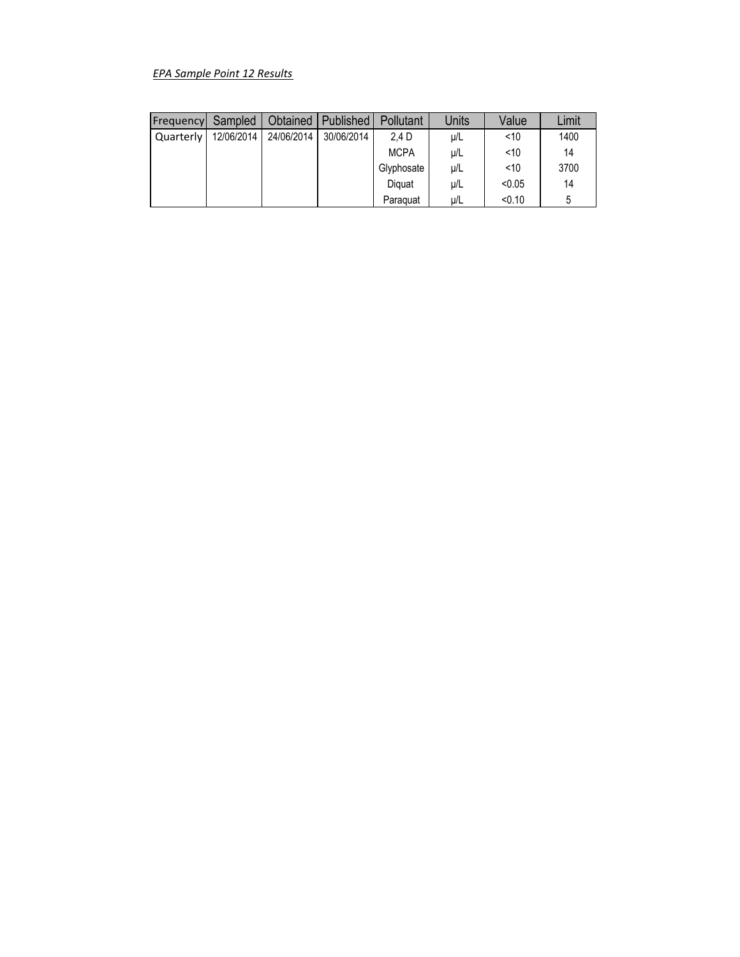# *EPA Sample Point 12 Results*

| Frequency | Sampled    | Obtained   | Published  | <b>Pollutant</b> | Units   | Value  | Limit |
|-----------|------------|------------|------------|------------------|---------|--------|-------|
| Quarterly | 12/06/2014 | 24/06/2014 | 30/06/2014 | 2.4 D            | $\mu/L$ | < 10   | 1400  |
|           |            |            |            | <b>MCPA</b>      | $\mu/L$ | < 10   | 14    |
|           |            |            |            | Glyphosate       | $\mu/L$ | < 10   | 3700  |
|           |            |            |            | Diguat           | μ/L     | < 0.05 | 14    |
|           |            |            |            | Paraguat         | μ/L     | < 0.10 | 5     |